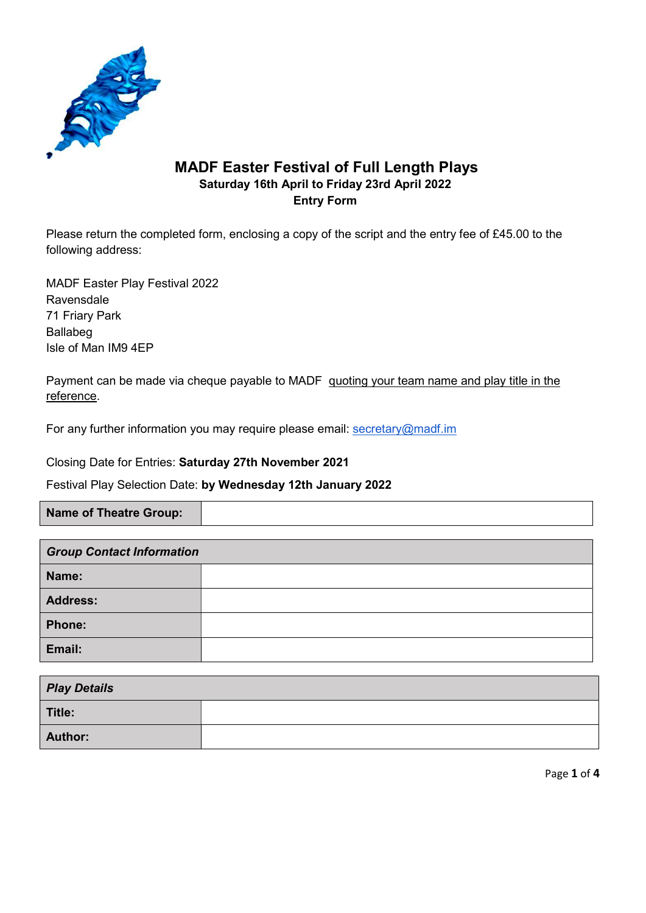

## MADF Easter Festival of Full Length Plays Saturday 16th April to Friday 23rd April 2022 Entry Form

Please return the completed form, enclosing a copy of the script and the entry fee of £45.00 to the following address:

MADF Easter Play Festival 2022 Ravensdale 71 Friary Park Ballabeg Isle of Man IM9 4EP

Payment can be made via cheque payable to MADF quoting your team name and play title in the reference.

For any further information you may require please email: secretary@madf.im

Closing Date for Entries: Saturday 27th November 2021

Festival Play Selection Date: by Wednesday 12th January 2022

Name of Theatre Group:

| <b>Group Contact Information</b> |  |  |
|----------------------------------|--|--|
| Name:                            |  |  |
| <b>Address:</b>                  |  |  |
| <b>Phone:</b>                    |  |  |
| Email:                           |  |  |

| <b>Play Details</b> |  |
|---------------------|--|
| Title:              |  |
| <b>Author:</b>      |  |

Page 1 of 4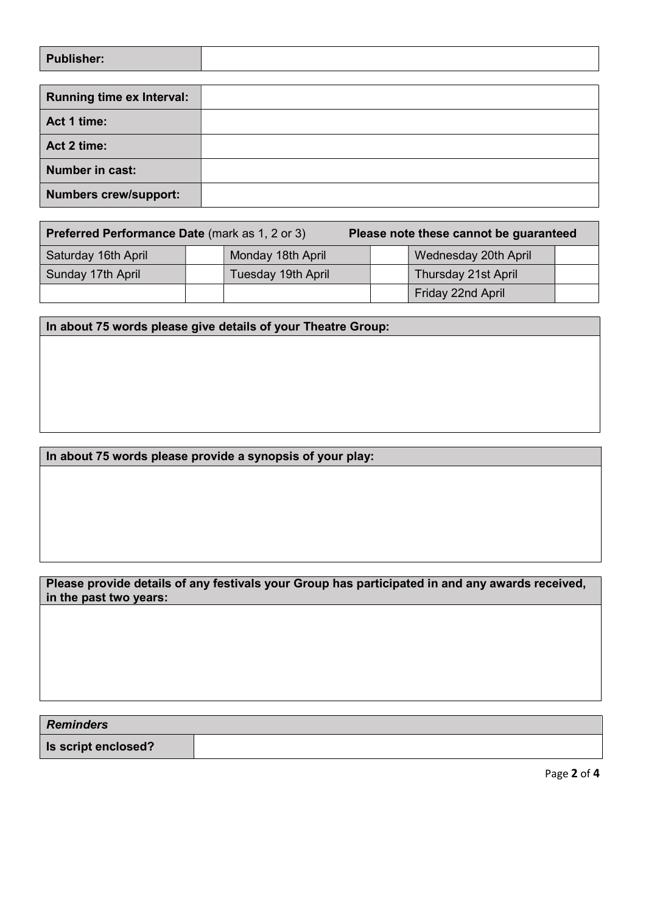| Publisher: |  |
|------------|--|
|            |  |

| <b>Running time ex Interval:</b> |  |
|----------------------------------|--|
| Act 1 time:                      |  |
| Act 2 time:                      |  |
| <b>Number in cast:</b>           |  |
| <b>Numbers crew/support:</b>     |  |

| <b>Preferred Performance Date (mark as 1, 2 or 3)</b> |  |                    | Please note these cannot be guaranteed |                            |  |
|-------------------------------------------------------|--|--------------------|----------------------------------------|----------------------------|--|
| Saturday 16th April                                   |  | Monday 18th April  |                                        | Wednesday 20th April       |  |
| Sunday 17th April                                     |  | Tuesday 19th April |                                        | <b>Thursday 21st April</b> |  |
|                                                       |  |                    |                                        | Friday 22nd April          |  |

In about 75 words please give details of your Theatre Group:

## In about 75 words please provide a synopsis of your play:

## Please provide details of any festivals your Group has participated in and any awards received, in the past two years:

Reminders Is script enclosed?

Page 2 of 4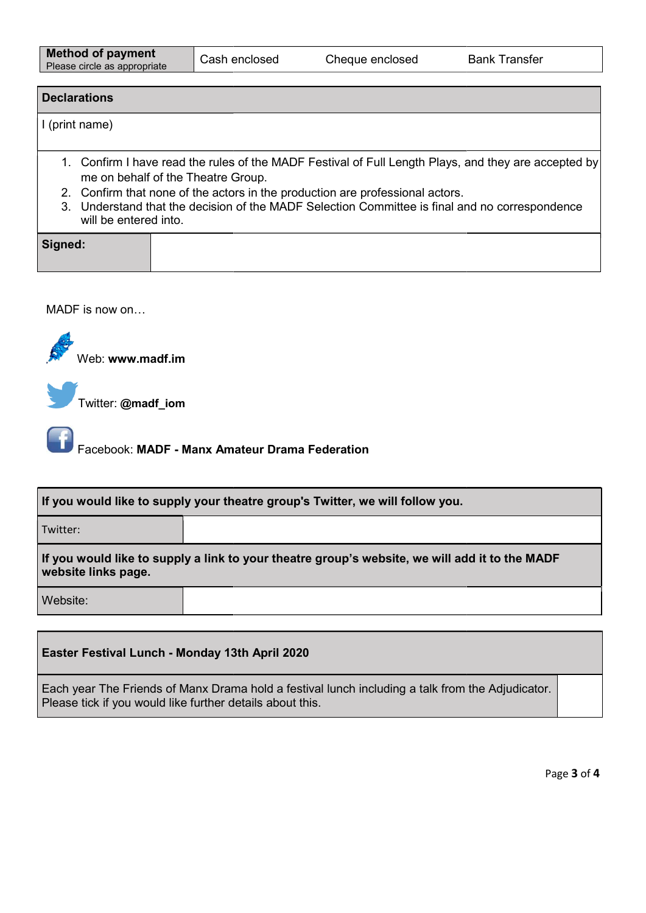## **Declarations** I (print name) 1. Confirm I have read the rules of the MADF Festival of Full Length Plays, and they are accepted by me on behalf of the Theatre Group. Let Cash enclosed Cheque enclosed Bank Transfer<br>Bank Transfer<br>Transferred the rules of the MADF Festival of Full Length Plays, and they are a

- 2. Confirm that none of the actors in the production are professional actors.
- 3. Understand that the decision of the MADF Selection Committee is final and no correspondence will be entered into.

| Signed: |  |  |  |
|---------|--|--|--|
|         |  |  |  |

MADF is now on…

Web: www.madf.im

Twitter: @madf\_iom

Facebook: MADF - Manx Amateur Drama Federation

| <b>Example: Example: Example: 21 Facebook: MADF - Manx Amateur Drama Federation</b>                                   |  |  |
|-----------------------------------------------------------------------------------------------------------------------|--|--|
| If you would like to supply your theatre group's Twitter, we will follow you.                                         |  |  |
| Twitter:                                                                                                              |  |  |
| If you would like to supply a link to your theatre group's website, we will add it to the MADF<br>website links page. |  |  |
| Website:                                                                                                              |  |  |
| Easter Festival Lunch - Monday 13th April 2020                                                                        |  |  |

Each year The Friends of Manx Drama hold a festival lunch including a talk from the Adjudicator.<br>Please tick if you would like further details about this. Please tick if you would like further details about this.

Page 3 of 4